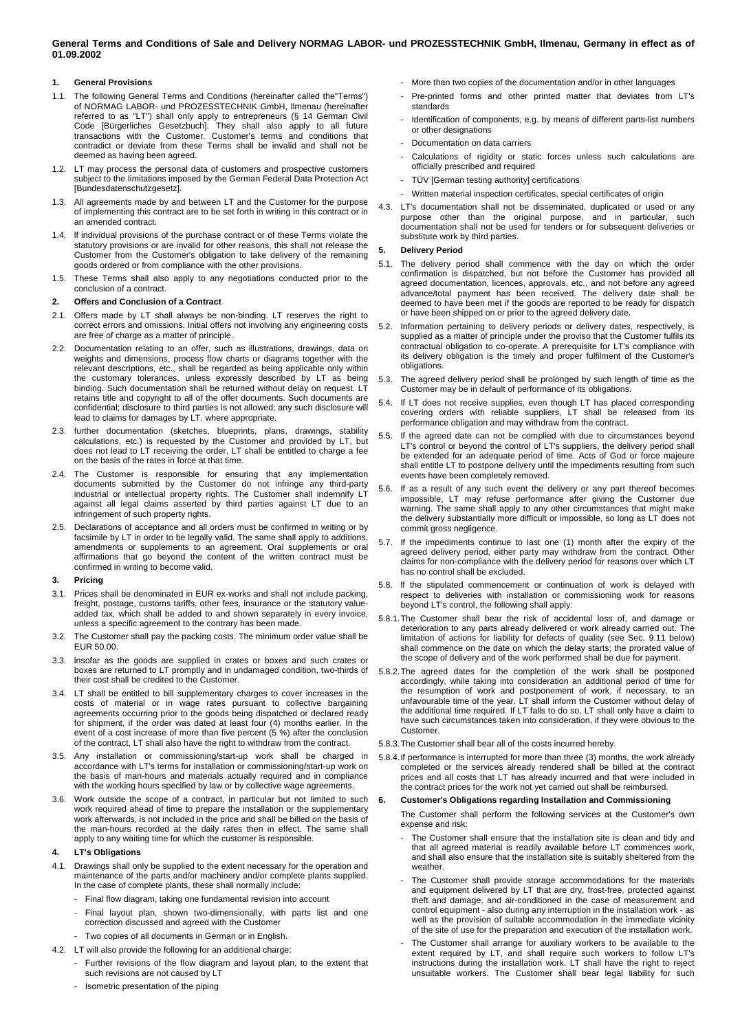# **General Terms and Conditions of Sale and Delivery NORMAG LABOR- und PROZESSTECHNIK GmbH, Ilmenau, Germany in effect as of 01.09.2002**

# **1. General Provisions**

- 1.1. The following General Terms and Conditions (hereinafter called the"Terms") of NORMAG LABOR- und PROZESSTECHNIK GmbH, Ilmenau (hereinafter referred to as "LT") shall only apply to entrepreneurs (§ 14 German Civil Code [Bürgerliches Gesetzbuch]. They shall also apply to all future transactions with the Customer. Customer's terms and conditions that contradict or deviate from these Terms shall be invalid and shall not be deemed as having been agreed.
- 1.2. LT may process the personal data of customers and prospective customers subject to the limitations imposed by the German Federal Data Protection Act [Bundesdatenschutzgesetz].
- All agreements made by and between LT and the Customer for the purpose of implementing this contract are to be set forth in writing in this contract or in an amended contract.
- 1.4. lf individual provisions of the purchase contract or of these Terms violate the statutory provisions or are invalid for other reasons, this shall not release the Customer from the Customer's obligation to take delivery of the remaining goods ordered or from compliance with the other provisions.
- 1.5. These Terms shall also apply to any negotiations conducted prior to the conclusion of a contract.

### **2. Offers and Conclusion of a Contract**

- 2.1. Offers made by LT shall always be non-binding. LT reserves the right to correct errors and omissions. Initial offers not involving any engineering costs are free of charge as a matter of principle.
- 2.2. Documentation relating to an offer, such as illustrations, drawings, data on weights and dimensions, process flow charts or diagrams together with the relevant descriptions, etc., shall be regarded as being applicable only within the customary tolerances, unless expressly described by LT as being binding. Such documentation shall be returned without delay on request. LT retains title and copyright to all of the offer documents. Such documents are confidential; disclosure to third parties is not allowed; any such disclosure will lead to claims for damages by LT, where appropriate.
- 2.3. further documentation (sketches, blueprints, plans, drawings, stability calculations, etc.) is requested by the Customer and provided by LT, but does not lead to LT receiving the order, LT shall be entitled to charge a fee on the basis of the rates in force at that time.
- 2.4. The Customer is responsible for ensuring that any implementation documents submitted by the Customer do not infringe any third-party industrial or intellectual property rights. The Customer shall indemnify LT against all legal claims asserted by third parties against LT due to an infringement of such property rights.
- 2.5. Declarations of acceptance and all orders must be confirmed in writing or by facsimile by LT in order to be legally valid. The same shall apply to additions amendments or supplements to an agreement. Oral supplements or oral affirmations that go beyond the content of the written contract must be confirmed in writing to become valid.
- **3. Pricing**
- 3.1. Prices shall be denominated in EUR ex-works and shall not include packing, freight, postage, customs tariffs, other fees, insurance or the statutory valueadded tax, which shall be added to and shown separately in every invoice, unless a specific agreement to the contrary has been made.
- 3.2. The Customer shall pay the packing costs. The minimum order value shall be EUR 50.00.
- 3.3. lnsofar as the goods are supplied in crates or boxes and such crates or boxes are returned to LT promptly and in undamaged condition, two-thirds of their cost shall be credited to the Customer.
- 3.4. LT shall be entitled to bill supplementary charges to cover increases in the costs of material or in wage rates pursuant to collective bargaining agreements occurring prior to the goods being dispatched or declared ready for shipment, if the order was dated at least four (4) months earlier. In the event of a cost increase of more than five percent (5 %) after the conclusion of the contract, LT shall also have the right to withdraw from the contract.
- 3.5. Any installation or commissioning/start-up work shall be charged in accordance with LT's terms for installation or commissioning/start-up work on the basis of man-hours and materials actually required and in compliance with the working hours specified by law or by collective wage agreements.
- 3.6. Work outside the scope of a contract, in particular but not Iimited to such work required ahead of time to prepare the installation or the supplementary work afterwards, is not included in the price and shall be billed on the basis of the man-hours recorded at the daily rates then in effect. The same shall apply to any waiting time for which the customer is responsible.

# **4. LT's Obligations**

- 4.1. Drawings shall only be supplied to the extent necessary for the operation and maintenance of the parts and/or machinery and/or complete plants supplied. In the case of complete plants, these shall normally include:
	- Final flow diagram, taking one fundamental revision into account
	- Final layout plan, shown two-dimensionally, with parts list and one correction discussed and agreed with the Customer
	- Two copies of all documents in German or in English.
- 4.2. LT will also provide the following for an additional charge:
	- Further revisions of the flow diagram and layout plan, to the extent that such revisions are not caused by LT
- More than two copies of the documentation and/or in other languages
- Pre-printed forms and other printed matter that deviates from LT's standards
- Identification of components, e.g. by means of different parts-list numbers or other designations
- Documentation on data carriers
- Calculations of rigidity or static forces unless such calculations are officially prescribed and required
- TÜV [German testing authority] certifications
- Written material inspection certificates, special certificates of origin
- 4.3. LT's documentation shall not be disseminated, duplicated or used or any purpose other than the original purpose, and in particular, such documentation shall not be used for tenders or for subsequent deliveries or substitute work by third parties.

## **5. Delivery Period**

- 5.1. The delivery period shall commence with the day on which the order confirmation is dispatched, but not before the Customer has provided all agreed documentation, licences, approvals, etc., and not before any agreed advance/total payment has been received. The delivery date shall be deemed to have been met if the goods are reported to be ready for dispatch or have been shipped on or prior to the agreed delivery date.
- 5.2. Information pertaining to delivery periods or delivery dates, respectively, is supplied as a matter of principle under the proviso that the Customer fulfils its contractual obligation to co-operate. A prerequisite for LT's compliance with its delivery obligation is the timely and proper fulfilment of the Customer's obligations.
- 5.3. The agreed delivery period shall be prolonged by such length of time as the Customer may be in default of performance of its obligations.
- 5.4. If LT does not receive supplies, even though LT has placed corresponding covering orders with reliable suppliers, LT shall be released from its performance obligation and may withdraw from the contract.
- If the agreed date can not be complied with due to circumstances beyond LT's control or beyond the control of LT's suppliers, the delivery period shall be extended for an adequate period of time. Acts of God or force majeure shall entitle LT to postpone delivery until the impediments resulting from such events have been completely removed.
- 5.6. If as a result of any such event the delivery or any part thereof becomes impossible, LT may refuse performance after giving the Customer due warning. The same shall apply to any other circumstances that might make the delivery substantially more difficult or impossible, so long as LT does not commit gross negligence.
- 5.7. If the impediments continue to last one (1) month after the expiry of the agreed delivery period, either party may withdraw from the contract. Other claims for non-compliance with the delivery period for reasons over which LT has no control shall be excluded.
- 5.8. lf the stipulated commencement or continuation of work is delayed with respect to deliveries with installation or commissioning work for reasons beyond LT's control, the following shall apply:
- 5.8.1. The Customer shall bear the risk of accidental loss of, and damage or deterioration to any parts already delivered or work already carried out. The limitation of actions for liability for defects of quality (see Sec. 9.11 below) shall commence on the date on which the delay starts; the prorated value of the scope of delivery and of the work performed shall be due for payment.
- 5.8.2. The agreed dates for the completion of the work shall be postponed accordingly, while taking into consideration an additional period of time for the resumption of work and postponement of work, if necessary, to an unfavourable time of the year. LT shall inform the Customer without delay of the additional time required. If LT falls to do so, LT shall only have a claim to have such circumstances taken into consideration, if they were obvious to the Customer.
- 5.8.3. The Customer shall bear all of the costs incurred hereby.
- 5.8.4. If performance is interrupted for more than three (3) months, the work already completed or the services already rendered shall be billed at the contract prices and all costs that LT has already incurred and that were included in the contract prices for the work not yet carried out shall be reimbursed.

## **6. Customer's Obligations regarding Installation and Commissioning**

The Customer shall perform the following services at the Customer's own expense and risk:

- The Customer shall ensure that the installation site is clean and tidy and that all agreed material is readily available before LT commences work, and shall also ensure that the installation site is suitably sheltered from the weather.
- The Customer shall provide storage accommodations for the materials and equipment delivered by LT that are dry, frost-free, protected against theft and damage, and air-conditioned in the case of measurement and control equipment - also during any interruption in the installation work - as well as the provision of suitable accommodation in the immediate vicinity of the site of use for the preparation and execution of the installation work.
- The Customer shall arrange for auxiliary workers to be available to the extent required by LT, and shall require such workers to follow LT's instructions during the installation work. LT shall have the right to reject unsuitable workers. The Customer shall bear legal liability for such

- Isometric presentation of the piping